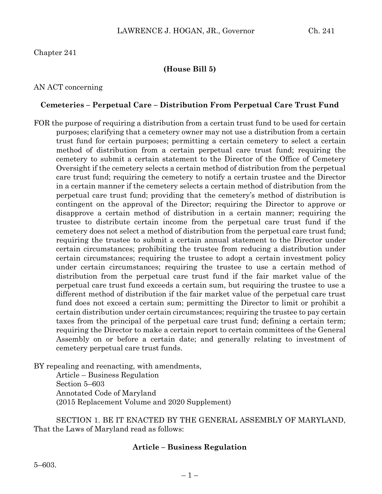# Chapter 241

# **(House Bill 5)**

## AN ACT concerning

### **Cemeteries – Perpetual Care – Distribution From Perpetual Care Trust Fund**

FOR the purpose of requiring a distribution from a certain trust fund to be used for certain purposes; clarifying that a cemetery owner may not use a distribution from a certain trust fund for certain purposes; permitting a certain cemetery to select a certain method of distribution from a certain perpetual care trust fund; requiring the cemetery to submit a certain statement to the Director of the Office of Cemetery Oversight if the cemetery selects a certain method of distribution from the perpetual care trust fund; requiring the cemetery to notify a certain trustee and the Director in a certain manner if the cemetery selects a certain method of distribution from the perpetual care trust fund; providing that the cemetery's method of distribution is contingent on the approval of the Director; requiring the Director to approve or disapprove a certain method of distribution in a certain manner; requiring the trustee to distribute certain income from the perpetual care trust fund if the cemetery does not select a method of distribution from the perpetual care trust fund; requiring the trustee to submit a certain annual statement to the Director under certain circumstances; prohibiting the trustee from reducing a distribution under certain circumstances; requiring the trustee to adopt a certain investment policy under certain circumstances; requiring the trustee to use a certain method of distribution from the perpetual care trust fund if the fair market value of the perpetual care trust fund exceeds a certain sum, but requiring the trustee to use a different method of distribution if the fair market value of the perpetual care trust fund does not exceed a certain sum; permitting the Director to limit or prohibit a certain distribution under certain circumstances; requiring the trustee to pay certain taxes from the principal of the perpetual care trust fund; defining a certain term; requiring the Director to make a certain report to certain committees of the General Assembly on or before a certain date; and generally relating to investment of cemetery perpetual care trust funds.

BY repealing and reenacting, with amendments,

Article – Business Regulation Section 5–603 Annotated Code of Maryland (2015 Replacement Volume and 2020 Supplement)

SECTION 1. BE IT ENACTED BY THE GENERAL ASSEMBLY OF MARYLAND, That the Laws of Maryland read as follows:

## **Article – Business Regulation**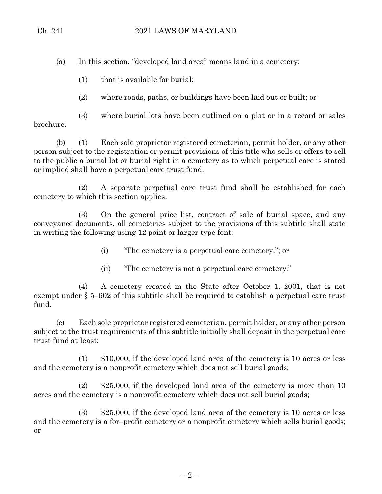(a) In this section, "developed land area" means land in a cemetery:

(1) that is available for burial;

(2) where roads, paths, or buildings have been laid out or built; or

(3) where burial lots have been outlined on a plat or in a record or sales brochure.

(b) (1) Each sole proprietor registered cemeterian, permit holder, or any other person subject to the registration or permit provisions of this title who sells or offers to sell to the public a burial lot or burial right in a cemetery as to which perpetual care is stated or implied shall have a perpetual care trust fund.

(2) A separate perpetual care trust fund shall be established for each cemetery to which this section applies.

(3) On the general price list, contract of sale of burial space, and any conveyance documents, all cemeteries subject to the provisions of this subtitle shall state in writing the following using 12 point or larger type font:

- (i) "The cemetery is a perpetual care cemetery."; or
- (ii) "The cemetery is not a perpetual care cemetery."

(4) A cemetery created in the State after October 1, 2001, that is not exempt under § 5–602 of this subtitle shall be required to establish a perpetual care trust fund.

(c) Each sole proprietor registered cemeterian, permit holder, or any other person subject to the trust requirements of this subtitle initially shall deposit in the perpetual care trust fund at least:

(1) \$10,000, if the developed land area of the cemetery is 10 acres or less and the cemetery is a nonprofit cemetery which does not sell burial goods;

(2) \$25,000, if the developed land area of the cemetery is more than 10 acres and the cemetery is a nonprofit cemetery which does not sell burial goods;

(3) \$25,000, if the developed land area of the cemetery is 10 acres or less and the cemetery is a for–profit cemetery or a nonprofit cemetery which sells burial goods; or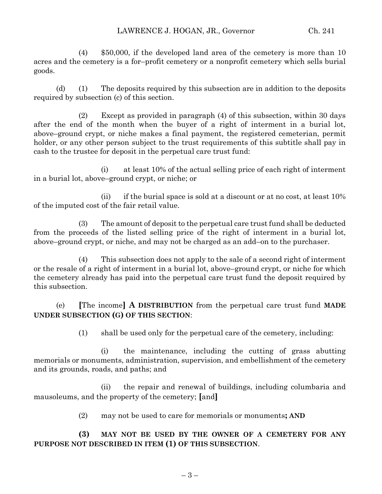(4) \$50,000, if the developed land area of the cemetery is more than 10 acres and the cemetery is a for–profit cemetery or a nonprofit cemetery which sells burial goods.

(d) (1) The deposits required by this subsection are in addition to the deposits required by subsection (c) of this section.

(2) Except as provided in paragraph (4) of this subsection, within 30 days after the end of the month when the buyer of a right of interment in a burial lot, above–ground crypt, or niche makes a final payment, the registered cemeterian, permit holder, or any other person subject to the trust requirements of this subtitle shall pay in cash to the trustee for deposit in the perpetual care trust fund:

(i) at least 10% of the actual selling price of each right of interment in a burial lot, above–ground crypt, or niche; or

(ii) if the burial space is sold at a discount or at no cost, at least  $10\%$ of the imputed cost of the fair retail value.

(3) The amount of deposit to the perpetual care trust fund shall be deducted from the proceeds of the listed selling price of the right of interment in a burial lot, above–ground crypt, or niche, and may not be charged as an add–on to the purchaser.

(4) This subsection does not apply to the sale of a second right of interment or the resale of a right of interment in a burial lot, above–ground crypt, or niche for which the cemetery already has paid into the perpetual care trust fund the deposit required by this subsection.

(e) **[**The income**] A DISTRIBUTION** from the perpetual care trust fund **MADE UNDER SUBSECTION (G) OF THIS SECTION**:

(1) shall be used only for the perpetual care of the cemetery, including:

(i) the maintenance, including the cutting of grass abutting memorials or monuments, administration, supervision, and embellishment of the cemetery and its grounds, roads, and paths; and

(ii) the repair and renewal of buildings, including columbaria and mausoleums, and the property of the cemetery; **[**and**]**

(2) may not be used to care for memorials or monuments**; AND**

**(3) MAY NOT BE USED BY THE OWNER OF A CEMETERY FOR ANY PURPOSE NOT DESCRIBED IN ITEM (1) OF THIS SUBSECTION**.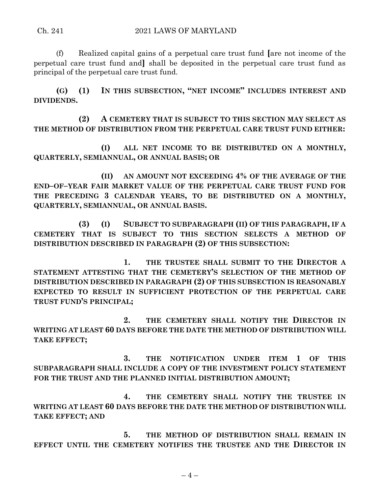(f) Realized capital gains of a perpetual care trust fund **[**are not income of the perpetual care trust fund and**]** shall be deposited in the perpetual care trust fund as principal of the perpetual care trust fund.

**(G) (1) IN THIS SUBSECTION, "NET INCOME" INCLUDES INTEREST AND DIVIDENDS.**

**(2) A CEMETERY THAT IS SUBJECT TO THIS SECTION MAY SELECT AS THE METHOD OF DISTRIBUTION FROM THE PERPETUAL CARE TRUST FUND EITHER:**

**(I) ALL NET INCOME TO BE DISTRIBUTED ON A MONTHLY, QUARTERLY, SEMIANNUAL, OR ANNUAL BASIS; OR**

**(II) AN AMOUNT NOT EXCEEDING 4% OF THE AVERAGE OF THE END–OF–YEAR FAIR MARKET VALUE OF THE PERPETUAL CARE TRUST FUND FOR THE PRECEDING 3 CALENDAR YEARS, TO BE DISTRIBUTED ON A MONTHLY, QUARTERLY, SEMIANNUAL, OR ANNUAL BASIS.**

**(3) (I) SUBJECT TO SUBPARAGRAPH (II) OF THIS PARAGRAPH, IF A CEMETERY THAT IS SUBJECT TO THIS SECTION SELECTS A METHOD OF DISTRIBUTION DESCRIBED IN PARAGRAPH (2) OF THIS SUBSECTION:**

**1. THE TRUSTEE SHALL SUBMIT TO THE DIRECTOR A STATEMENT ATTESTING THAT THE CEMETERY'S SELECTION OF THE METHOD OF DISTRIBUTION DESCRIBED IN PARAGRAPH (2) OF THIS SUBSECTION IS REASONABLY EXPECTED TO RESULT IN SUFFICIENT PROTECTION OF THE PERPETUAL CARE TRUST FUND'S PRINCIPAL;**

**2. THE CEMETERY SHALL NOTIFY THE DIRECTOR IN WRITING AT LEAST 60 DAYS BEFORE THE DATE THE METHOD OF DISTRIBUTION WILL TAKE EFFECT;**

**3. THE NOTIFICATION UNDER ITEM 1 OF THIS SUBPARAGRAPH SHALL INCLUDE A COPY OF THE INVESTMENT POLICY STATEMENT FOR THE TRUST AND THE PLANNED INITIAL DISTRIBUTION AMOUNT;**

**4. THE CEMETERY SHALL NOTIFY THE TRUSTEE IN WRITING AT LEAST 60 DAYS BEFORE THE DATE THE METHOD OF DISTRIBUTION WILL TAKE EFFECT; AND**

**5. THE METHOD OF DISTRIBUTION SHALL REMAIN IN EFFECT UNTIL THE CEMETERY NOTIFIES THE TRUSTEE AND THE DIRECTOR IN**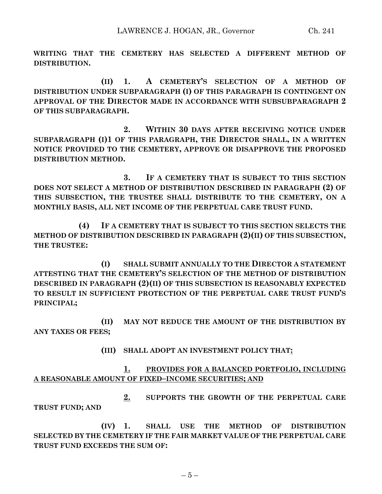**WRITING THAT THE CEMETERY HAS SELECTED A DIFFERENT METHOD OF DISTRIBUTION.**

**(II) 1. A CEMETERY'S SELECTION OF A METHOD OF DISTRIBUTION UNDER SUBPARAGRAPH (I) OF THIS PARAGRAPH IS CONTINGENT ON APPROVAL OF THE DIRECTOR MADE IN ACCORDANCE WITH SUBSUBPARAGRAPH 2 OF THIS SUBPARAGRAPH.**

**2. WITHIN 30 DAYS AFTER RECEIVING NOTICE UNDER SUBPARAGRAPH (I)1 OF THIS PARAGRAPH, THE DIRECTOR SHALL, IN A WRITTEN NOTICE PROVIDED TO THE CEMETERY, APPROVE OR DISAPPROVE THE PROPOSED DISTRIBUTION METHOD.**

**3. IF A CEMETERY THAT IS SUBJECT TO THIS SECTION DOES NOT SELECT A METHOD OF DISTRIBUTION DESCRIBED IN PARAGRAPH (2) OF THIS SUBSECTION, THE TRUSTEE SHALL DISTRIBUTE TO THE CEMETERY, ON A MONTHLY BASIS, ALL NET INCOME OF THE PERPETUAL CARE TRUST FUND.**

**(4) IF A CEMETERY THAT IS SUBJECT TO THIS SECTION SELECTS THE METHOD OF DISTRIBUTION DESCRIBED IN PARAGRAPH (2)(II) OF THIS SUBSECTION, THE TRUSTEE:**

**(I) SHALL SUBMIT ANNUALLY TO THE DIRECTOR A STATEMENT ATTESTING THAT THE CEMETERY'S SELECTION OF THE METHOD OF DISTRIBUTION DESCRIBED IN PARAGRAPH (2)(II) OF THIS SUBSECTION IS REASONABLY EXPECTED TO RESULT IN SUFFICIENT PROTECTION OF THE PERPETUAL CARE TRUST FUND'S PRINCIPAL;**

**(II) MAY NOT REDUCE THE AMOUNT OF THE DISTRIBUTION BY ANY TAXES OR FEES;**

**(III) SHALL ADOPT AN INVESTMENT POLICY THAT:**

**1. PROVIDES FOR A BALANCED PORTFOLIO, INCLUDING A REASONABLE AMOUNT OF FIXED–INCOME SECURITIES; AND**

**2. SUPPORTS THE GROWTH OF THE PERPETUAL CARE TRUST FUND; AND**

**(IV) 1. SHALL USE THE METHOD OF DISTRIBUTION SELECTED BY THE CEMETERY IF THE FAIR MARKET VALUE OF THE PERPETUAL CARE TRUST FUND EXCEEDS THE SUM OF:**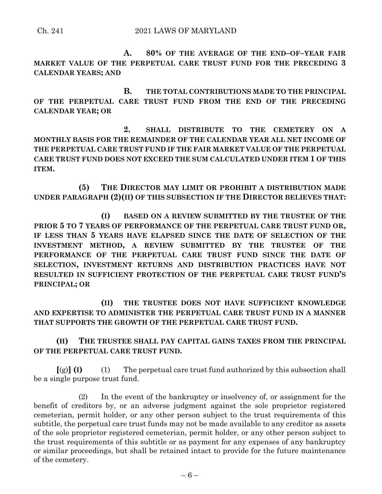**A. 80% OF THE AVERAGE OF THE END–OF–YEAR FAIR MARKET VALUE OF THE PERPETUAL CARE TRUST FUND FOR THE PRECEDING 3 CALENDAR YEARS; AND**

**B. THE TOTAL CONTRIBUTIONS MADE TO THE PRINCIPAL OF THE PERPETUAL CARE TRUST FUND FROM THE END OF THE PRECEDING CALENDAR YEAR; OR**

**2. SHALL DISTRIBUTE TO THE CEMETERY ON A MONTHLY BASIS FOR THE REMAINDER OF THE CALENDAR YEAR ALL NET INCOME OF THE PERPETUAL CARE TRUST FUND IF THE FAIR MARKET VALUE OF THE PERPETUAL CARE TRUST FUND DOES NOT EXCEED THE SUM CALCULATED UNDER ITEM 1 OF THIS ITEM.**

**(5) THE DIRECTOR MAY LIMIT OR PROHIBIT A DISTRIBUTION MADE UNDER PARAGRAPH (2)(II) OF THIS SUBSECTION IF THE DIRECTOR BELIEVES THAT:**

**(I) BASED ON A REVIEW SUBMITTED BY THE TRUSTEE OF THE PRIOR 5 TO 7 YEARS OF PERFORMANCE OF THE PERPETUAL CARE TRUST FUND OR, IF LESS THAN 5 YEARS HAVE ELAPSED SINCE THE DATE OF SELECTION OF THE INVESTMENT METHOD, A REVIEW SUBMITTED BY THE TRUSTEE OF THE PERFORMANCE OF THE PERPETUAL CARE TRUST FUND SINCE THE DATE OF SELECTION, INVESTMENT RETURNS AND DISTRIBUTION PRACTICES HAVE NOT RESULTED IN SUFFICIENT PROTECTION OF THE PERPETUAL CARE TRUST FUND'S PRINCIPAL; OR** 

**(II) THE TRUSTEE DOES NOT HAVE SUFFICIENT KNOWLEDGE AND EXPERTISE TO ADMINISTER THE PERPETUAL CARE TRUST FUND IN A MANNER THAT SUPPORTS THE GROWTH OF THE PERPETUAL CARE TRUST FUND.**

**(H) THE TRUSTEE SHALL PAY CAPITAL GAINS TAXES FROM THE PRINCIPAL OF THE PERPETUAL CARE TRUST FUND.**

**[**(g)**] (I)** (1) The perpetual care trust fund authorized by this subsection shall be a single purpose trust fund.

(2) In the event of the bankruptcy or insolvency of, or assignment for the benefit of creditors by, or an adverse judgment against the sole proprietor registered cemeterian, permit holder, or any other person subject to the trust requirements of this subtitle, the perpetual care trust funds may not be made available to any creditor as assets of the sole proprietor registered cemeterian, permit holder, or any other person subject to the trust requirements of this subtitle or as payment for any expenses of any bankruptcy or similar proceedings, but shall be retained intact to provide for the future maintenance of the cemetery.